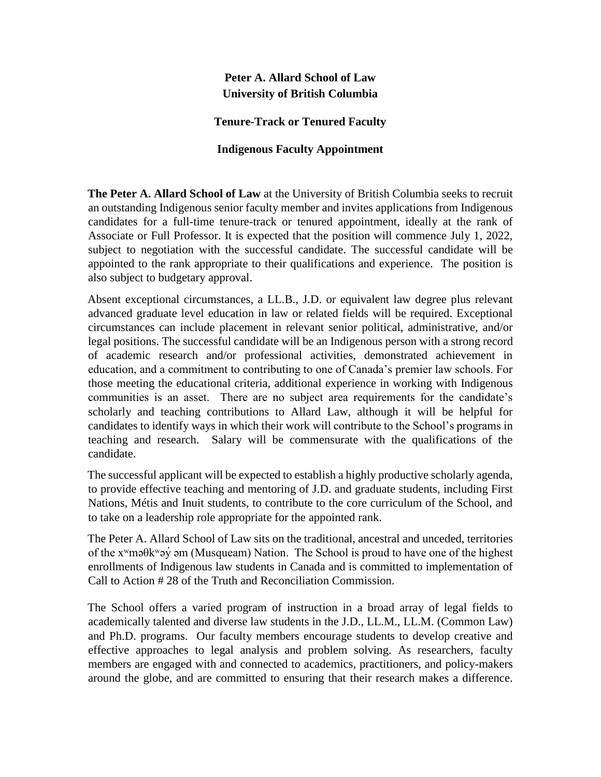## **Peter A. Allard School of Law University of British Columbia**

**Tenure-Track or Tenured Faculty** 

## **Indigenous Faculty Appointment**

**The Peter A. Allard School of Law** at the University of British Columbia seeks to recruit an outstanding Indigenous senior faculty member and invites applications from Indigenous candidates for a full-time tenure-track or tenured appointment, ideally at the rank of Associate or Full Professor. It is expected that the position will commence July 1, 2022, subject to negotiation with the successful candidate. The successful candidate will be appointed to the rank appropriate to their qualifications and experience. The position is also subject to budgetary approval.

Absent exceptional circumstances, a LL.B., J.D. or equivalent law degree plus relevant advanced graduate level education in law or related fields will be required. Exceptional circumstances can include placement in relevant senior political, administrative, and/or legal positions. The successful candidate will be an Indigenous person with a strong record of academic research and/or professional activities, demonstrated achievement in education, and a commitment to contributing to one of Canada's premier law schools. For those meeting the educational criteria, additional experience in working with Indigenous communities is an asset. There are no subject area requirements for the candidate's scholarly and teaching contributions to Allard Law, although it will be helpful for candidates to identify ways in which their work will contribute to the School's programs in teaching and research. Salary will be commensurate with the qualifications of the candidate.

The successful applicant will be expected to establish a highly productive scholarly agenda, to provide effective teaching and mentoring of J.D. and graduate students, including First Nations, Métis and Inuit students, to contribute to the core curriculum of the School, and to take on a leadership role appropriate for the appointed rank.

The Peter A. Allard School of Law sits on the traditional, ancestral and unceded, territories of the  $x^w$ mə $\theta$ kwə $\dot{y}$  əm (Musqueam) Nation. The School is proud to have one of the highest enrollments of Indigenous law students in Canada and is committed to implementation of Call to Action # 28 of the Truth and Reconciliation Commission.

The School offers a varied program of instruction in a broad array of legal fields to academically talented and diverse law students in the J.D., LL.M., LL.M. (Common Law) and Ph.D. programs. Our faculty members encourage students to develop creative and effective approaches to legal analysis and problem solving. As researchers, faculty members are engaged with and connected to academics, practitioners, and policy-makers around the globe, and are committed to ensuring that their research makes a difference.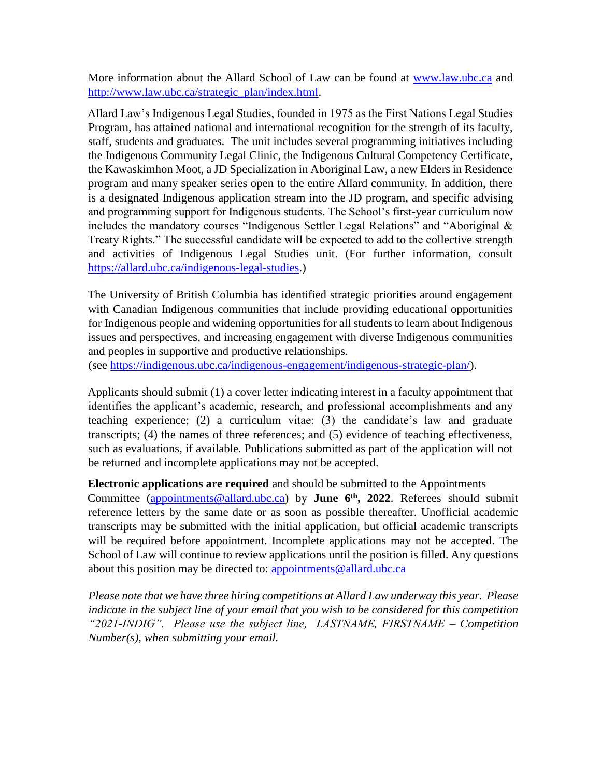More information about the Allard School of Law can be found at [www.law.ubc.ca](http://www.law.ubc.ca/) and [http://www.law.ubc.ca/strategic\\_plan/index.html.](http://www.law.ubc.ca/strategic_plan/index.html)

Allard Law's Indigenous Legal Studies, founded in 1975 as the First Nations Legal Studies Program, has attained national and international recognition for the strength of its faculty, staff, students and graduates. The unit includes several programming initiatives including the Indigenous Community Legal Clinic, the Indigenous Cultural Competency Certificate, the Kawaskimhon Moot, a JD Specialization in Aboriginal Law, a new Elders in Residence program and many speaker series open to the entire Allard community. In addition, there is a designated Indigenous application stream into the JD program, and specific advising and programming support for Indigenous students. The School's first-year curriculum now includes the mandatory courses "Indigenous Settler Legal Relations" and "Aboriginal & Treaty Rights." The successful candidate will be expected to add to the collective strength and activities of Indigenous Legal Studies unit. (For further information, consult [https://allard.ubc.ca/indigenous-legal-studies.\)](https://allard.ubc.ca/indigenous-legal-studies)

The University of British Columbia has identified strategic priorities around engagement with Canadian Indigenous communities that include providing educational opportunities for Indigenous people and widening opportunities for all students to learn about Indigenous issues and perspectives, and increasing engagement with diverse Indigenous communities and peoples in supportive and productive relationships.

(s[ee https://indigenous.ubc.ca/indigenous-engagement/indigenous-strategic-plan/\).](https://indigenous.ubc.ca/indigenous-engagement/indigenous-strategic-plan/) 

Applicants should submit (1) a cover letter indicating interest in a faculty appointment that identifies the applicant's academic, research, and professional accomplishments and any teaching experience; (2) a curriculum vitae; (3) the candidate's law and graduate transcripts; (4) the names of three references; and (5) evidence of teaching effectiveness, such as evaluations, if available. Publications submitted as part of the application will not be returned and incomplete applications may not be accepted.

**Electronic applications are required** and should be submitted to the Appointments Committee (appointments@allard.ubc.ca) by **June 6th, 2022**. Referees should submit reference letters by the same date or as soon as possible thereafter. Unofficial academic transcripts may be submitted with the initial application, but official academic transcripts will be required before appointment. Incomplete applications may not be accepted. The School of Law will continue to review applications until the position is filled. Any questions about this position may be directed to: appointments@allard.ubc.ca

*Please note that we have three hiring competitions at Allard Law underway this year. Please indicate in the subject line of your email that you wish to be considered for this competition "2021-INDIG". Please use the subject line, LASTNAME, FIRSTNAME – Competition Number(s), when submitting your email.*